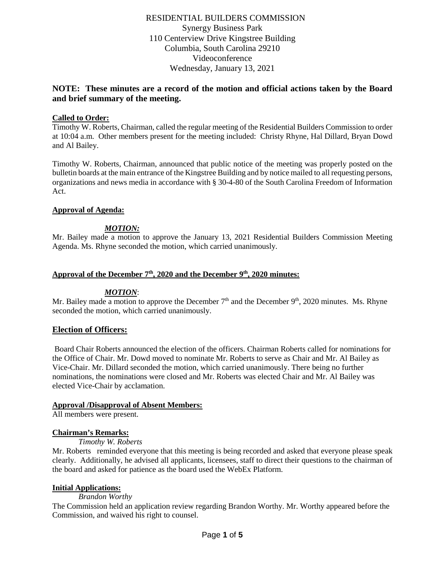RESIDENTIAL BUILDERS COMMISSION Synergy Business Park 110 Centerview Drive Kingstree Building Columbia, South Carolina 29210 Videoconference Wednesday, January 13, 2021

# **NOTE: These minutes are a record of the motion and official actions taken by the Board and brief summary of the meeting.**

## **Called to Order:**

Timothy W. Roberts, Chairman, called the regular meeting of the Residential Builders Commission to order at 10:04 a.m. Other members present for the meeting included: Christy Rhyne, Hal Dillard, Bryan Dowd and Al Bailey.

Timothy W. Roberts, Chairman, announced that public notice of the meeting was properly posted on the bulletin boards at the main entrance of the Kingstree Building and by notice mailed to all requesting persons, organizations and news media in accordance with § 30-4-80 of the South Carolina Freedom of Information Act.

### **Approval of Agenda:**

## *MOTION:*

Mr. Bailey made a motion to approve the January 13, 2021 Residential Builders Commission Meeting Agenda. Ms. Rhyne seconded the motion, which carried unanimously.

## Approval of the December 7<sup>th</sup>, 2020 and the December 9<sup>th</sup>, 2020 minutes:

### *MOTION*:

Mr. Bailey made a motion to approve the December  $7<sup>th</sup>$  and the December  $9<sup>th</sup>$ , 2020 minutes. Ms. Rhyne seconded the motion, which carried unanimously.

### **Election of Officers:**

Board Chair Roberts announced the election of the officers. Chairman Roberts called for nominations for the Office of Chair. Mr. Dowd moved to nominate Mr. Roberts to serve as Chair and Mr. Al Bailey as Vice-Chair. Mr. Dillard seconded the motion, which carried unanimously. There being no further nominations, the nominations were closed and Mr. Roberts was elected Chair and Mr. Al Bailey was elected Vice-Chair by acclamation.

### **Approval /Disapproval of Absent Members:**

All members were present.

### **Chairman's Remarks:**

*Timothy W. Roberts*

Mr. Roberts reminded everyone that this meeting is being recorded and asked that everyone please speak clearly. Additionally, he advised all applicants, licensees, staff to direct their questions to the chairman of the board and asked for patience as the board used the WebEx Platform.

## **Initial Applications:**

### *Brandon Worthy*

The Commission held an application review regarding Brandon Worthy. Mr. Worthy appeared before the Commission, and waived his right to counsel.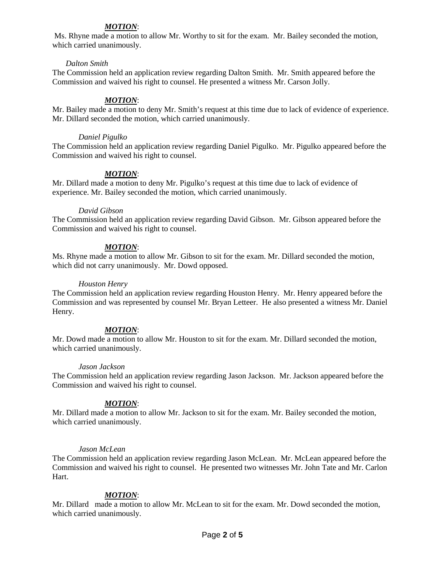# *MOTION*:

Ms. Rhyne made a motion to allow Mr. Worthy to sit for the exam. Mr. Bailey seconded the motion, which carried unanimously.

## *Dalton Smith*

The Commission held an application review regarding Dalton Smith. Mr. Smith appeared before the Commission and waived his right to counsel. He presented a witness Mr. Carson Jolly.

# *MOTION*:

Mr. Bailey made a motion to deny Mr. Smith's request at this time due to lack of evidence of experience. Mr. Dillard seconded the motion, which carried unanimously.

## *Daniel Pigulko*

The Commission held an application review regarding Daniel Pigulko. Mr. Pigulko appeared before the Commission and waived his right to counsel.

## *MOTION*:

Mr. Dillard made a motion to deny Mr. Pigulko's request at this time due to lack of evidence of experience. Mr. Bailey seconded the motion, which carried unanimously.

## *David Gibson*

The Commission held an application review regarding David Gibson. Mr. Gibson appeared before the Commission and waived his right to counsel.

## *MOTION*:

Ms. Rhyne made a motion to allow Mr. Gibson to sit for the exam. Mr. Dillard seconded the motion, which did not carry unanimously. Mr. Dowd opposed.

## *Houston Henry*

The Commission held an application review regarding Houston Henry. Mr. Henry appeared before the Commission and was represented by counsel Mr. Bryan Letteer. He also presented a witness Mr. Daniel Henry.

## *MOTION*:

Mr. Dowd made a motion to allow Mr. Houston to sit for the exam. Mr. Dillard seconded the motion, which carried unanimously.

## *Jason Jackson*

The Commission held an application review regarding Jason Jackson. Mr. Jackson appeared before the Commission and waived his right to counsel.

## *MOTION*:

Mr. Dillard made a motion to allow Mr. Jackson to sit for the exam. Mr. Bailey seconded the motion, which carried unanimously.

## *Jason McLean*

The Commission held an application review regarding Jason McLean. Mr. McLean appeared before the Commission and waived his right to counsel. He presented two witnesses Mr. John Tate and Mr. Carlon Hart.

## *MOTION*:

Mr. Dillard made a motion to allow Mr. McLean to sit for the exam. Mr. Dowd seconded the motion, which carried unanimously.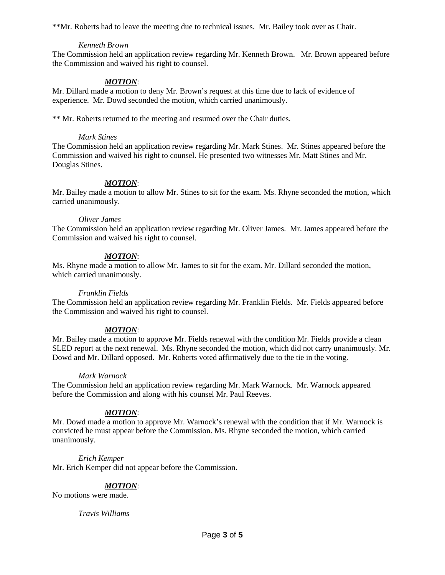\*\*Mr. Roberts had to leave the meeting due to technical issues. Mr. Bailey took over as Chair.

### *Kenneth Brown*

The Commission held an application review regarding Mr. Kenneth Brown. Mr. Brown appeared before the Commission and waived his right to counsel.

# *MOTION*:

Mr. Dillard made a motion to deny Mr. Brown's request at this time due to lack of evidence of experience. Mr. Dowd seconded the motion, which carried unanimously.

\*\* Mr. Roberts returned to the meeting and resumed over the Chair duties.

#### *Mark Stines*

The Commission held an application review regarding Mr. Mark Stines. Mr. Stines appeared before the Commission and waived his right to counsel. He presented two witnesses Mr. Matt Stines and Mr. Douglas Stines.

## *MOTION*:

Mr. Bailey made a motion to allow Mr. Stines to sit for the exam. Ms. Rhyne seconded the motion, which carried unanimously.

#### *Oliver James*

The Commission held an application review regarding Mr. Oliver James. Mr. James appeared before the Commission and waived his right to counsel.

### *MOTION*:

Ms. Rhyne made a motion to allow Mr. James to sit for the exam. Mr. Dillard seconded the motion, which carried unanimously.

### *Franklin Fields*

The Commission held an application review regarding Mr. Franklin Fields. Mr. Fields appeared before the Commission and waived his right to counsel.

### *MOTION*:

Mr. Bailey made a motion to approve Mr. Fields renewal with the condition Mr. Fields provide a clean SLED report at the next renewal. Ms. Rhyne seconded the motion, which did not carry unanimously. Mr. Dowd and Mr. Dillard opposed. Mr. Roberts voted affirmatively due to the tie in the voting.

### *Mark Warnock*

The Commission held an application review regarding Mr. Mark Warnock. Mr. Warnock appeared before the Commission and along with his counsel Mr. Paul Reeves.

### *MOTION*:

Mr. Dowd made a motion to approve Mr. Warnock's renewal with the condition that if Mr. Warnock is convicted he must appear before the Commission. Ms. Rhyne seconded the motion, which carried unanimously.

### *Erich Kemper*

Mr. Erich Kemper did not appear before the Commission.

### *MOTION*:

No motions were made.

#### *Travis Williams*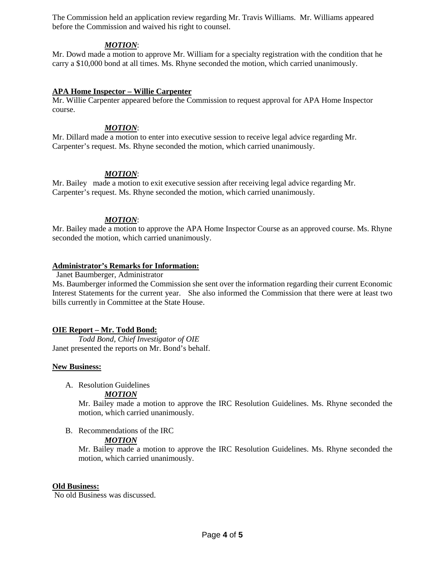The Commission held an application review regarding Mr. Travis Williams. Mr. Williams appeared before the Commission and waived his right to counsel.

### *MOTION*:

Mr. Dowd made a motion to approve Mr. William for a specialty registration with the condition that he carry a \$10,000 bond at all times. Ms. Rhyne seconded the motion, which carried unanimously.

### **APA Home Inspector – Willie Carpenter**

Mr. Willie Carpenter appeared before the Commission to request approval for APA Home Inspector course.

## *MOTION*:

Mr. Dillard made a motion to enter into executive session to receive legal advice regarding Mr. Carpenter's request. Ms. Rhyne seconded the motion, which carried unanimously.

## *MOTION*:

Mr. Bailey made a motion to exit executive session after receiving legal advice regarding Mr. Carpenter's request. Ms. Rhyne seconded the motion, which carried unanimously.

## *MOTION*:

Mr. Bailey made a motion to approve the APA Home Inspector Course as an approved course. Ms. Rhyne seconded the motion, which carried unanimously.

## **Administrator's Remarks for Information:**

Janet Baumberger, Administrator

Ms. Baumberger informed the Commission she sent over the information regarding their current Economic Interest Statements for the current year. She also informed the Commission that there were at least two bills currently in Committee at the State House.

### **OIE Report – Mr. Todd Bond:**

*Todd Bond, Chief Investigator of OIE* Janet presented the reports on Mr. Bond's behalf.

### **New Business:**

A. Resolution Guidelines

### *MOTION*

Mr. Bailey made a motion to approve the IRC Resolution Guidelines. Ms. Rhyne seconded the motion, which carried unanimously.

B. Recommendations of the IRC

### *MOTION*

Mr. Bailey made a motion to approve the IRC Resolution Guidelines. Ms. Rhyne seconded the motion, which carried unanimously.

#### **Old Business:**

No old Business was discussed.